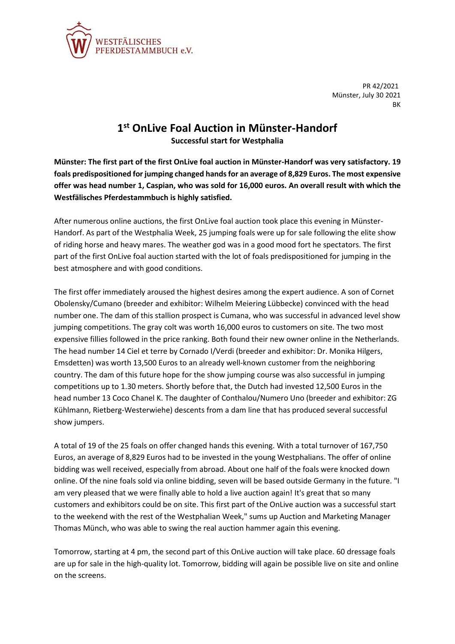

PR 42/2021 Münster, July 30 2021 BK

## **1 st OnLive Foal Auction in Münster-Handorf**

**Successful start for Westphalia**

**Münster: The first part of the first OnLive foal auction in Münster-Handorf was very satisfactory. 19 foals predispositioned for jumping changed hands for an average of 8,829 Euros. The most expensive offer was head number 1, Caspian, who was sold for 16,000 euros. An overall result with which the Westfälisches Pferdestammbuch is highly satisfied.**

After numerous online auctions, the first OnLive foal auction took place this evening in Münster-Handorf. As part of the Westphalia Week, 25 jumping foals were up for sale following the elite show of riding horse and heavy mares. The weather god was in a good mood fort he spectators. The first part of the first OnLive foal auction started with the lot of foals predispositioned for jumping in the best atmosphere and with good conditions.

The first offer immediately aroused the highest desires among the expert audience. A son of Cornet Obolensky/Cumano (breeder and exhibitor: Wilhelm Meiering Lübbecke) convinced with the head number one. The dam of this stallion prospect is Cumana, who was successful in advanced level show jumping competitions. The gray colt was worth 16,000 euros to customers on site. The two most expensive fillies followed in the price ranking. Both found their new owner online in the Netherlands. The head number 14 Ciel et terre by Cornado I/Verdi (breeder and exhibitor: Dr. Monika Hilgers, Emsdetten) was worth 13,500 Euros to an already well-known customer from the neighboring country. The dam of this future hope for the show jumping course was also successful in jumping competitions up to 1.30 meters. Shortly before that, the Dutch had invested 12,500 Euros in the head number 13 Coco Chanel K. The daughter of Conthalou/Numero Uno (breeder and exhibitor: ZG Kühlmann, Rietberg-Westerwiehe) descents from a dam line that has produced several successful show jumpers.

A total of 19 of the 25 foals on offer changed hands this evening. With a total turnover of 167,750 Euros, an average of 8,829 Euros had to be invested in the young Westphalians. The offer of online bidding was well received, especially from abroad. About one half of the foals were knocked down online. Of the nine foals sold via online bidding, seven will be based outside Germany in the future. "I am very pleased that we were finally able to hold a live auction again! It's great that so many customers and exhibitors could be on site. This first part of the OnLive auction was a successful start to the weekend with the rest of the Westphalian Week," sums up Auction and Marketing Manager Thomas Münch, who was able to swing the real auction hammer again this evening.

Tomorrow, starting at 4 pm, the second part of this OnLive auction will take place. 60 dressage foals are up for sale in the high-quality lot. Tomorrow, bidding will again be possible live on site and online on the screens.